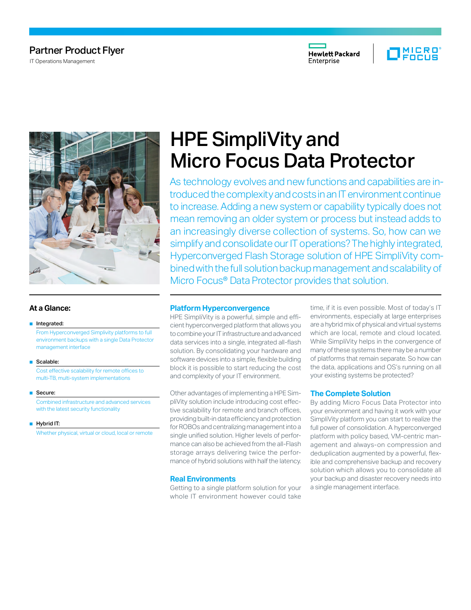# Partner Product Flyer

IT Operations Management







# **At a Glance:**

#### ■ Integrated:

 From Hyperconverged Simplivity platforms to full environment backups with a single Data Protector management interface

■ Scalable:

Cost effective scalability for remote offices to multi-TB, multi-system implementations

■ Secure:

 Combined infrastructure and advanced services with the latest security functionality

■ Hybrid IT:

Whether physical, virtual or cloud, local or remote

# HPE SimpliVity and Micro Focus Data Protector

As technology evolves and new functions and capabilities are introduced the complexity and costs in an IT environment continue to increase. Adding a new system or capability typically does not mean removing an older system or process but instead adds to an increasingly diverse collection of systems. So, how can we simplify and consolidate our IT operations? The highly integrated, Hyperconverged Flash Storage solution of HPE SimpliVity combined with the full solution backup management and scalability of Micro Focus® Data Protector provides that solution.

## **Platform Hyperconvergence**

HPE SimpliVity is a powerful, simple and efficient hyperconverged platform that allows you to combine your IT infrastructure and advanced data services into a single, integrated all-flash solution. By consolidating your hardware and software devices into a simple, flexible building block it is possible to start reducing the cost and complexity of your IT environment.

Other advantages of implementing a HPE SimpliVity solution include introducing cost effective scalability for remote and branch offices, providing built-in data efficiency and protection for ROBOs and centralizing management into a single unified solution. Higher levels of performance can also be achieved from the all-Flash storage arrays delivering twice the performance of hybrid solutions with half the latency.

## **Real Environments**

Getting to a single platform solution for your whole IT environment however could take

time, if it is even possible. Most of today's IT environments, especially at large enterprises are a hybrid mix of physical and virtual systems which are local, remote and cloud located. While SimpliVity helps in the convergence of many of these systems there may be a number of platforms that remain separate. So how can the data, applications and OS's running on all your existing systems be protected?

#### **The Complete Solution**

By adding Micro Focus Data Protector into your environment and having it work with your SimpliVity platform you can start to realize the full power of consolidation. A hyperconverged platform with policy based, VM-centric management and always-on compression and deduplication augmented by a powerful, flexible and comprehensive backup and recovery solution which allows you to consolidate all your backup and disaster recovery needs into a single management interface.